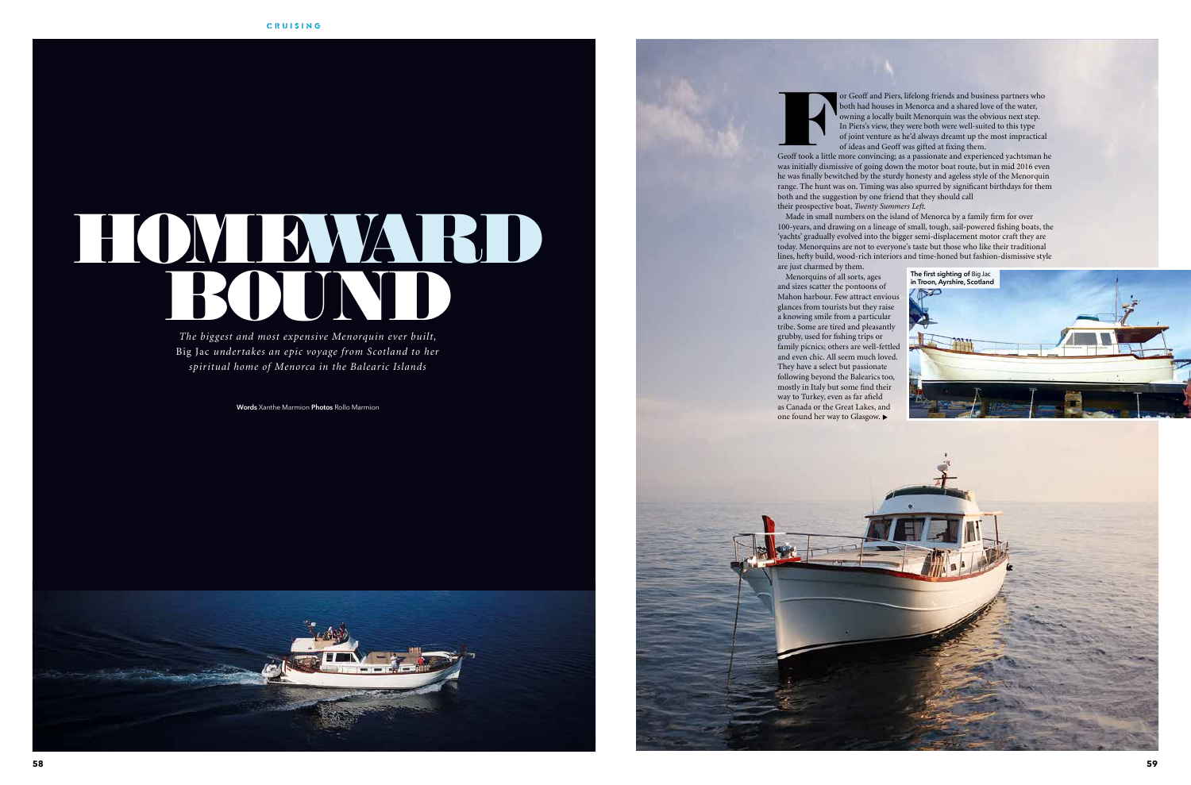*The biggest and most expensive Menorquin ever built,*  Big Jac *undertakes an epic voyage from Scotland to her spiritual home of Menorca in the Balearic Islands*

**Words** Xanthe Marmion **Photos** Rollo Marmion





For Geoff and Piers, lifelong friends and business partners who both had houses in Menorca and a shared love of the water, owning a locally built Menorquin was the obvious next step. In Piers's view, they were both were we both had houses in Menorca and a shared love of the water, owning a locally built Menorquin was the obvious next step. In Piers's view, they were both were well-suited to this type of joint venture as he'd always dreamt up the most impractical of ideas and Geoff was gifted at fixing them.

was initially dismissive of going down the motor boat route, but in mid 2016 even he was finally bewitched by the sturdy honesty and ageless style of the Menorquin range. The hunt was on. Timing was also spurred by significant birthdays for them both and the suggestion by one friend that they should call their prospective boat, *Twenty Summers Left*.

Made in small numbers on the island of Menorca by a family firm for over 100-years, and drawing on a lineage of small, tough, sail-powered fishing boats, the 'yachts' gradually evolved into the bigger semi-displacement motor craft they are today. Menorquins are not to everyone's taste but those who like their traditional lines, hefty build, wood-rich interiors and time-honed but fashion-dismissive style are just charmed by them.

Menorquins of all sorts, ages and sizes scatter the pontoons of Mahon harbour. Few attract envious glances from tourists but they raise a knowing smile from a particular tribe. Some are tired and pleasantly grubby, used for fishing trips or family picnics; others are well-fettled and even chic. All seem much loved. They have a select but passionate following beyond the Balearics too, mostly in Italy but some find their way to Turkey, even as far afield as Canada or the Great Lakes, and one found her way to Glasgow.



# HOMEWATHD

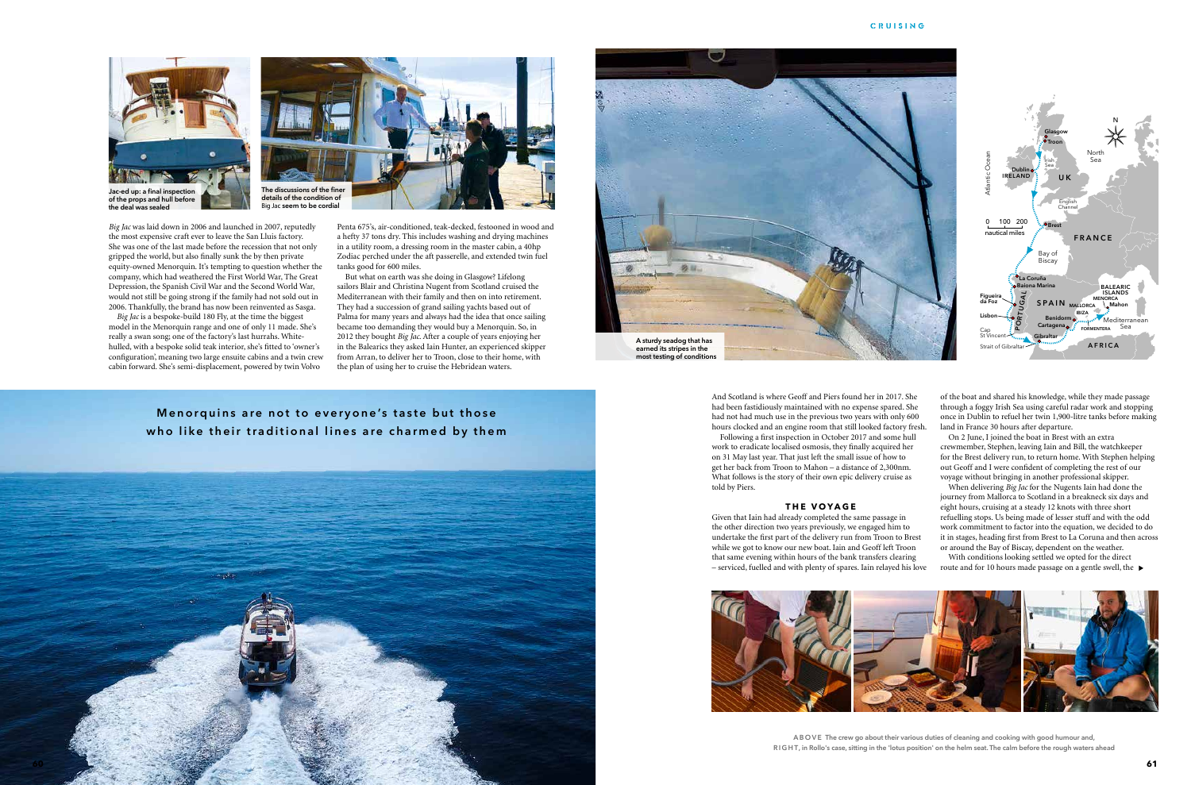

the most expensive craft ever to leave the San Lluis factory. She was one of the last made before the recession that not only gripped the world, but also finally sunk the by then private equity-owned Menorquin. It's tempting to question whether the company, which had weathered the First World War, The Great Depression, the Spanish Civil War and the Second World War, would not still be going strong if the family had not sold out in 2006. Thankfully, the brand has now been reinvented as Sasga.

*Big Jac* is a bespoke-build 180 Fly, at the time the biggest model in the Menorquin range and one of only 11 made. She's really a swan song; one of the factory's last hurrahs. Whitehulled, with a bespoke solid teak interior, she's fitted to 'owner's configuration', meaning two large ensuite cabins and a twin crew cabin forward. She's semi-displacement, powered by twin Volvo

Penta 675's, air-conditioned, teak-decked, festooned in wood and a hefty 37 tons dry. This includes washing and drying machines in a utility room, a dressing room in the master cabin, a 40hp Zodiac perched under the aft passerelle, and extended twin fuel tanks good for 600 miles.

But what on earth was she doing in Glasgow? Lifelong sailors Blair and Christina Nugent from Scotland cruised the Mediterranean with their family and then on into retirement. They had a succession of grand sailing yachts based out of Palma for many years and always had the idea that once sailing became too demanding they would buy a Menorquin. So, in 2012 they bought *Big Jac*. After a couple of years enjoying her in the Balearics they asked Iain Hunter, an experienced skipper from Arran, to deliver her to Troon, close to their home, with the plan of using her to cruise the Hebridean waters.

**Menorquins are not to everyone's taste but those** who like their traditional lines are charmed by them And Scotland is where Geoff and Piers found her in 2017. She had been fastidiously maintained with no expense spared. She had not had much use in the previous two years with only 600 hours clocked and an engine room that still looked factory fresh.



Following a first inspection in October 2017 and some hull work to eradicate localised osmosis, they finally acquired her on 31 May last year. That just left the small issue of how to get her back from Troon to Mahon – a distance of 2,300nm. What follows is the story of their own epic delivery cruise as told by Piers.

### **the voyage**

Given that Iain had already completed the same passage in the other direction two years previously, we engaged him to undertake the first part of the delivery run from Troon to Brest while we got to know our new boat. Iain and Geoff left Troon that same evening within hours of the bank transfers clearing – serviced, fuelled and with plenty of spares. Iain relayed his love



A B O V E The crew go about their various duties of cleaning and cooking with good humour and, RIGHT, in Rollo's case, sitting in the 'lotus position' on the helm seat. The calm before the rough waters ahead

of the boat and shared his knowledge, while they made passage through a foggy Irish Sea using careful radar work and stopping once in Dublin to refuel her twin 1,900-litre tanks before making land in France 30 hours after departure.

On 2 June, I joined the boat in Brest with an extra crewmember, Stephen, leaving Iain and Bill, the watchkeeper for the Brest delivery run, to return home. With Stephen helping out Geoff and I were confident of completing the rest of our voyage without bringing in another professional skipper.

When delivering *Big Jac* for the Nugents Iain had done the journey from Mallorca to Scotland in a breakneck six days and eight hours, cruising at a steady 12 knots with three short refuelling stops. Us being made of lesser stuff and with the odd work commitment to factor into the equation, we decided to do it in stages, heading first from Brest to La Coruna and then across or around the Bay of Biscay, dependent on the weather. With conditions looking settled we opted for the direct

route and for 10 hours made passage on a gentle swell, the



### CRUISING

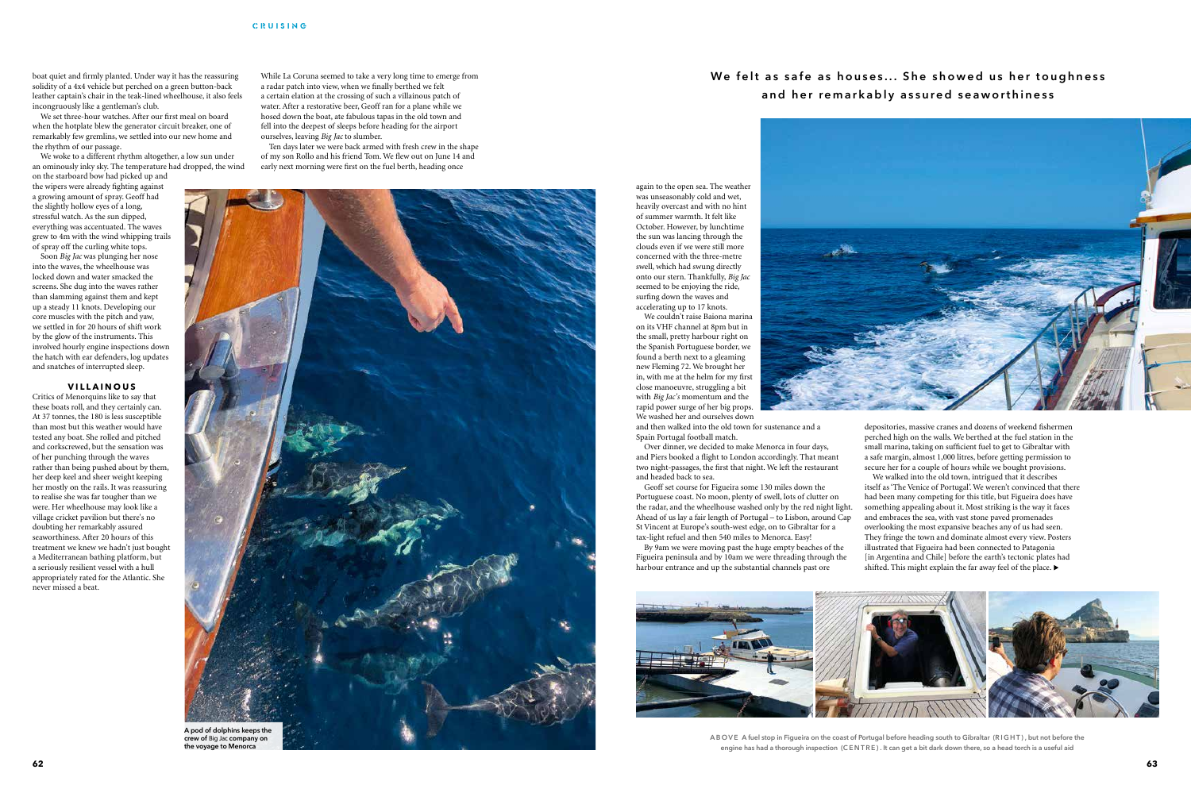boat quiet and firmly planted. Under way it has the reassuring solidity of a 4x4 vehicle but perched on a green button-back leather captain's chair in the teak-lined wheelhouse, it also feels incongruously like a gentleman's club.

We set three-hour watches. After our first meal on board when the hotplate blew the generator circuit breaker, one of remarkably few gremlins, we settled into our new home and the rhythm of our passage.

We woke to a different rhythm altogether, a low sun under an ominously inky sky. The temperature had dropped, the wind

on the starboard bow had picked up and the wipers were already fighting against a growing amount of spray. Geoff had the slightly hollow eyes of a long, stressful watch. As the sun dipped, everything was accentuated. The waves grew to 4m with the wind whipping trails of spray off the curling white tops.

Soon *Big Jac* was plunging her nose into the waves, the wheelhouse was locked down and water smacked the screens. She dug into the waves rather than slamming against them and kept up a steady 11 knots. Developing our core muscles with the pitch and yaw, we settled in for 20 hours of shift work by the glow of the instruments. This involved hourly engine inspections down the hatch with ear defenders, log updates and snatches of interrupted sleep.

## **V illainous**

We couldn't raise Baiona marina on its VHF channel at 8pm but in the small, pretty harbour right on the Spanish Portuguese border, we found a berth next to a gleaming new Fleming 72. We brought her in, with me at the helm for my first close manoeuvre, struggling a bit with *Big Jac's* momentum and the rapid power surge of her big props. We washed her and ourselves down



Critics of Menorquins like to say that these boats roll, and they certainly can. At 37 tonnes, the 180 is less susceptible than most but this weather would have tested any boat. She rolled and pitched and corkscrewed, but the sensation was of her punching through the waves rather than being pushed about by them, her deep keel and sheer weight keeping her mostly on the rails. It was reassuring to realise she was far tougher than we were. Her wheelhouse may look like a village cricket pavilion but there's no doubting her remarkably assured seaworthiness. After 20 hours of this treatment we knew we hadn't just bought a Mediterranean bathing platform, but a seriously resilient vessel with a hull appropriately rated for the Atlantic. She never missed a beat.

While La Coruna seemed to take a very long time to emerge from a radar patch into view, when we finally berthed we felt a certain elation at the crossing of such a villainous patch of water. After a restorative beer, Geoff ran for a plane while we hosed down the boat, ate fabulous tapas in the old town and fell into the deepest of sleeps before heading for the airport ourselves, leaving *Big Jac* to slumber.

> We walked into the old town, intrigued that it describes itself as 'The Venice of Portugal'. We weren't convinced that there had been many competing for this title, but Figueira does have something appealing about it. Most striking is the way it faces and embraces the sea, with vast stone paved promenades overlooking the most expansive beaches any of us had seen. They fringe the town and dominate almost every view. Posters illustrated that Figueira had been connected to Patagonia [in Argentina and Chile] before the earth's tectonic plates had shifted. This might explain the far away feel of the place.  $\blacktriangleright$

A B O V E A fuel stop in Figueira on the coast of Portugal before heading south to Gibraltar (RIGHT), but not before the engine has had a thorough inspection (CENTRE). It can get a bit dark down there, so a head torch is a useful aid

Ten days later we were back armed with fresh crew in the shape of my son Rollo and his friend Tom. We flew out on June 14 and early next morning were first on the fuel berth, heading once

# We felt as safe as houses... She showed us her toughness **and her remarkably assured seaworthiness**

again to the open sea. The weather was unseasonably cold and wet, heavily overcast and with no hint of summer warmth. It felt like October. However, by lunchtime the sun was lancing through the clouds even if we were still more concerned with the three-metre swell, which had swung directly onto our stern. Thankfully, *Big Jac* seemed to be enjoying the ride, surfing down the waves and accelerating up to 17 knots.

and then walked into the old town for sustenance and a Spain Portugal football match.

Over dinner, we decided to make Menorca in four days, and Piers booked a flight to London accordingly. That meant two night-passages, the first that night. We left the restaurant and headed back to sea.

Geoff set course for Figueira some 130 miles down the Portuguese coast. No moon, plenty of swell, lots of clutter on the radar, and the wheelhouse washed only by the red night light. Ahead of us lay a fair length of Portugal – to Lisbon, around Cap St Vincent at Europe's south-west edge, on to Gibraltar for a tax-light refuel and then 540 miles to Menorca. Easy!

By 9am we were moving past the huge empty beaches of the Figueira peninsula and by 10am we were threading through the harbour entrance and up the substantial channels past ore



depositories, massive cranes and dozens of weekend fishermen perched high on the walls. We berthed at the fuel station in the small marina, taking on sufficient fuel to get to Gibraltar with a safe margin, almost 1,000 litres, before getting permission to secure her for a couple of hours while we bought provisions.

# CRUISING



crew of Big Jac company on the voyage to Menorca